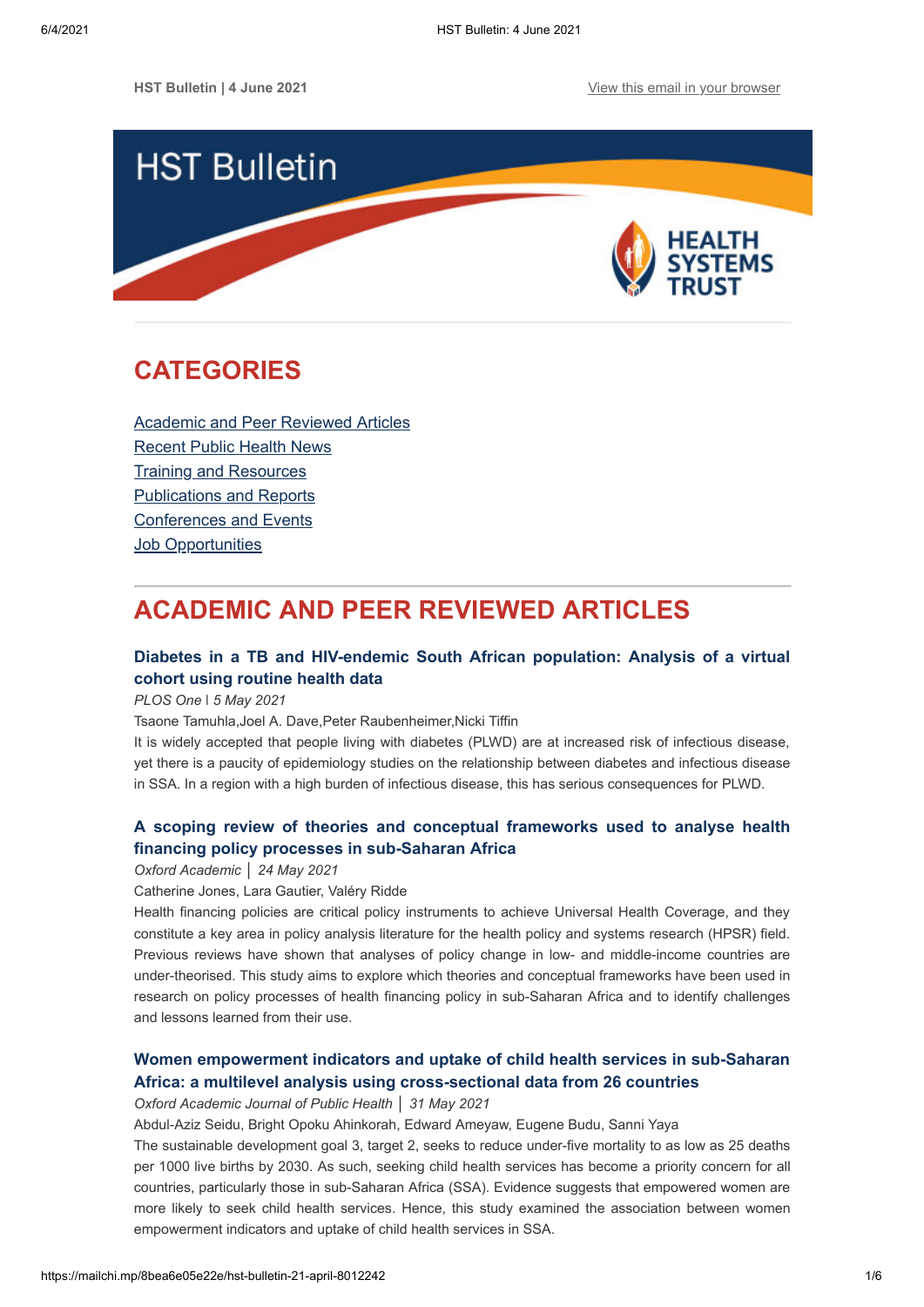

# <span id="page-0-1"></span>**CATEGORIES**

[Academic and Peer Reviewed Articles](#page-0-0) [Recent Public Health News](#page-1-0) Training and Resources [Publications and Reports](#page-3-0) [Conferences and Events](#page-4-0) **[Job Opportunities](#page-4-1)** 

# <span id="page-0-0"></span>**ACADEMIC AND PEER REVIEWED ARTICLES**

# **[Diabetes in a TB and HIV-endemic South African population: Analysis of a](https://journals.plos.org/plosone/article?id=10.1371/journal.pone.0251303) virtual cohort using routine health data**

*PLOS One* ǀ *5 May 2021*

Tsaone Tamuhla,Joel A. Dave,Peter Raubenheimer,Nicki Tiffin

It is widely accepted that people living with diabetes (PLWD) are at increased risk of infectious disease, yet there is a paucity of epidemiology studies on the relationship between diabetes and infectious disease in SSA. In a region with a high burden of infectious disease, this has serious consequences for PLWD.

# **[A scoping review of theories and conceptual frameworks used to analyse health](https://academic.oup.com/heapol/advance-article/doi/10.1093/heapol/czaa173/6283520) financing policy processes in sub-Saharan Africa**

*Oxford Academic* │ *24 May 2021*

Catherine Jones, Lara Gautier, Valéry Ridde

Health financing policies are critical policy instruments to achieve Universal Health Coverage, and they constitute a key area in policy analysis literature for the health policy and systems research (HPSR) field. Previous reviews have shown that analyses of policy change in low- and middle-income countries are under-theorised. This study aims to explore which theories and conceptual frameworks have been used in research on policy processes of health financing policy in sub-Saharan Africa and to identify challenges and lessons learned from their use.

# **[Women empowerment indicators and uptake of child health services in sub-Saharan](https://academic.oup.com/jpubhealth/advance-article-abstract/doi/10.1093/pubmed/fdab177/6290175?redirectedFrom=fulltext) Africa: a multilevel analysis using cross-sectional data from 26 countries**

*Oxford Academic Journal of Public Health* │ *31 May 2021*

Abdul-Aziz Seidu, Bright Opoku Ahinkorah, Edward Ameyaw, Eugene Budu, Sanni Yaya

The sustainable development goal 3, target 2, seeks to reduce under-five mortality to as low as 25 deaths per 1000 live births by 2030. As such, seeking child health services has become a priority concern for all countries, particularly those in sub-Saharan Africa (SSA). Evidence suggests that empowered women are more likely to seek child health services. Hence, this study examined the association between women empowerment indicators and uptake of child health services in SSA.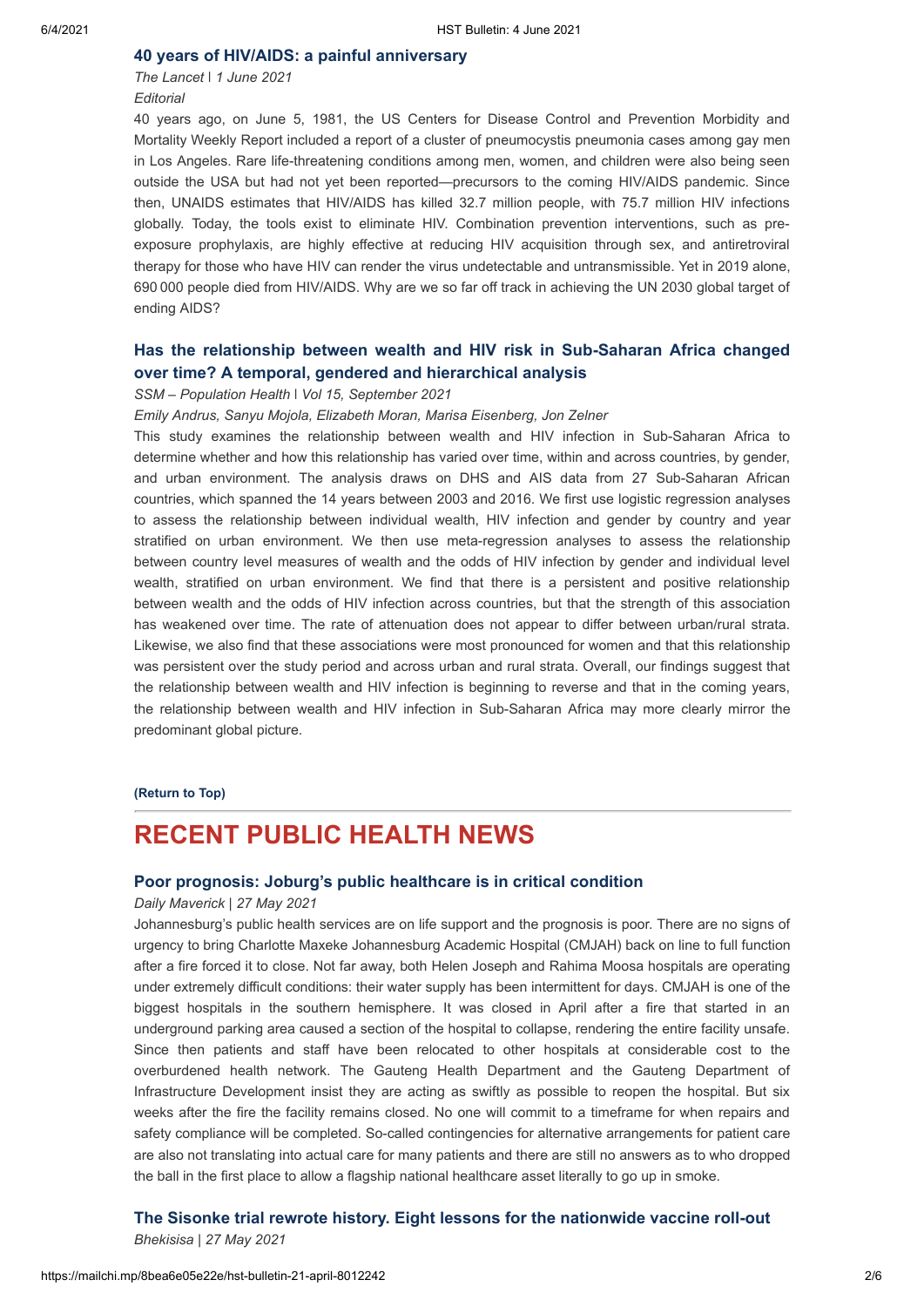### **[40 years of HIV/AIDS: a painful anniversary](https://www.thelancet.com/journals/lancet/article/PIIS0140-6736(21)01213-7/fulltext)**

*The Lancet* ǀ *1 June 2021 Editorial*

40 years ago, on June 5, 1981, the US Centers for Disease Control and Prevention Morbidity and Mortality Weekly Report included a report of a cluster of pneumocystis pneumonia cases among gay men in Los Angeles. Rare life-threatening conditions among men, women, and children were also being seen outside the USA but had not yet been reported—precursors to the coming HIV/AIDS pandemic. Since then, UNAIDS estimates that HIV/AIDS has killed 32.7 million people, with 75.7 million HIV infections globally. Today, the tools exist to eliminate HIV. Combination prevention interventions, such as preexposure prophylaxis, are highly effective at reducing HIV acquisition through sex, and antiretroviral therapy for those who have HIV can render the virus undetectable and untransmissible. Yet in 2019 alone, 690 000 people died from HIV/AIDS. Why are we so far off track in achieving the UN 2030 global target of ending AIDS?

# **[Has the relationship between wealth and HIV risk in Sub-Saharan Africa changed](https://www.sciencedirect.com/science/article/pii/S2352827321001087) over time? A temporal, gendered and hierarchical analysis**

### *SSM – Population Health* ǀ *Vol 15, September 2021*

## *Emily Andrus, Sanyu Mojola, Elizabeth Moran, Marisa Eisenberg, Jon Zelner*

This study examines the relationship between wealth and HIV infection in Sub-Saharan Africa to determine whether and how this relationship has varied over time, within and across countries, by gender, and urban environment. The analysis draws on DHS and AIS data from 27 Sub-Saharan African countries, which spanned the 14 years between 2003 and 2016. We first use logistic regression analyses to assess the relationship between individual wealth, HIV infection and gender by country and year stratified on urban environment. We then use meta-regression analyses to assess the relationship between country level measures of wealth and the odds of HIV infection by gender and individual level wealth, stratified on urban environment. We find that there is a persistent and positive relationship between wealth and the odds of HIV infection across countries, but that the strength of this association has weakened over time. The rate of attenuation does not appear to differ between urban/rural strata. Likewise, we also find that these associations were most pronounced for women and that this relationship was persistent over the study period and across urban and rural strata. Overall, our findings suggest that the relationship between wealth and HIV infection is beginning to reverse and that in the coming years, the relationship between wealth and HIV infection in Sub-Saharan Africa may more clearly mirror the predominant global picture.

## **[\(Return to Top\)](#page-0-1)**

# <span id="page-1-0"></span>**RECENT PUBLIC HEALTH NEWS**

## **[Poor prognosis: Joburg's public healthcare is in critical condition](https://www.dailymaverick.co.za/article/2021-05-30-poor-prognosis-joburgs-public-healthcare-is-in-critical-condition/)**

#### *Daily Maverick* | *27 May 2021*

Johannesburg's public health services are on life support and the prognosis is poor. There are no signs of urgency to bring Charlotte Maxeke Johannesburg Academic Hospital (CMJAH) back on line to full function after a fire forced it to close. Not far away, both Helen Joseph and Rahima Moosa hospitals are operating under extremely difficult conditions: their water supply has been intermittent for days. CMJAH is one of the biggest hospitals in the southern hemisphere. It was closed in April after a fire that started in an underground parking area caused a section of the hospital to collapse, rendering the entire facility unsafe. Since then patients and staff have been relocated to other hospitals at considerable cost to the overburdened health network. The Gauteng Health Department and the Gauteng Department of Infrastructure Development insist they are acting as swiftly as possible to reopen the hospital. But six weeks after the fire the facility remains closed. No one will commit to a timeframe for when repairs and safety compliance will be completed. So-called contingencies for alternative arrangements for patient care are also not translating into actual care for many patients and there are still no answers as to who dropped the ball in the first place to allow a flagship national healthcare asset literally to go up in smoke.

**[The Sisonke trial rewrote history. Eight lessons for the nationwide vaccine roll-out](https://bhekisisa.org/article/2021-05-27-the-sisonke-trial-rewrote-history-eight-lessons-for-the-nationwide-vaccine-roll-out/)**

*Bhekisisa* | *27 May 2021*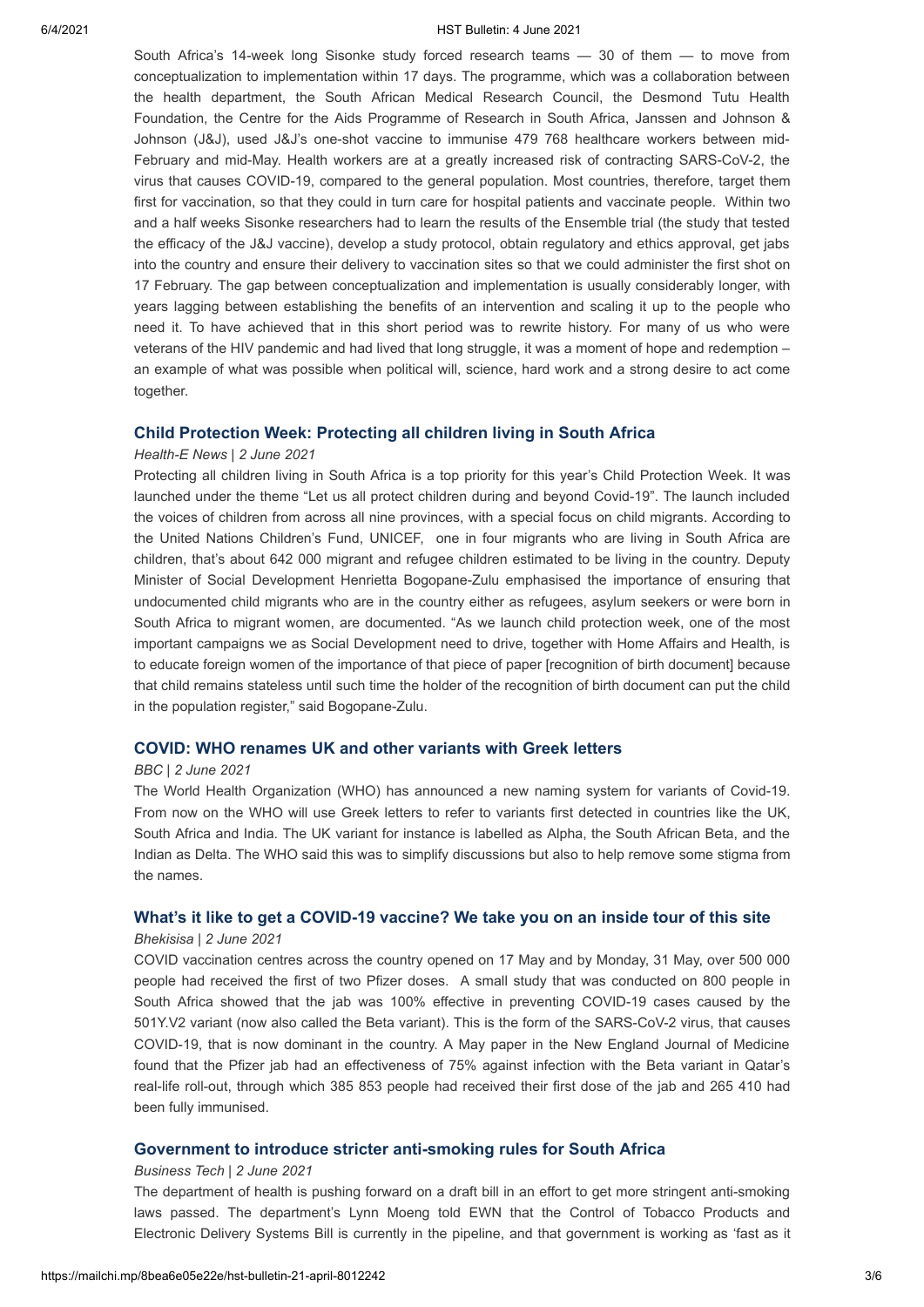#### 6/4/2021 HST Bulletin: 4 June 2021

South Africa's 14-week long Sisonke study forced research teams — 30 of them — to move from conceptualization to implementation within 17 days. The programme, which was a collaboration between the health department, the South African Medical Research Council, the Desmond Tutu Health Foundation, the Centre for the Aids Programme of Research in South Africa, Janssen and Johnson & Johnson (J&J), used J&J's one-shot vaccine to immunise 479 768 healthcare workers between mid-February and mid-May. Health workers are at a greatly increased risk of contracting SARS-CoV-2, the virus that causes COVID-19, compared to the general population. Most countries, therefore, target them first for vaccination, so that they could in turn care for hospital patients and vaccinate people. Within two and a half weeks Sisonke researchers had to learn the results of the Ensemble trial (the study that tested the efficacy of the J&J vaccine), develop a study protocol, obtain regulatory and ethics approval, get jabs into the country and ensure their delivery to vaccination sites so that we could administer the first shot on 17 February. The gap between conceptualization and implementation is usually considerably longer, with years lagging between establishing the benefits of an intervention and scaling it up to the people who need it. To have achieved that in this short period was to rewrite history. For many of us who were veterans of the HIV pandemic and had lived that long struggle, it was a moment of hope and redemption – an example of what was possible when political will, science, hard work and a strong desire to act come together.

## **[Child Protection Week: Protecting all children living in South Africa](https://health-e.org.za/2021/06/02/child-protection-week-protecting-all-children-living-in-south-africa/%20%C2%A0)**

### *Health-E News | 2 June 2021*

Protecting all children living in South Africa is a top priority for this year's Child Protection Week. It was launched under the theme "Let us all protect children during and beyond Covid-19". The launch included the voices of children from across all nine provinces, with a special focus on child migrants. According to the United Nations Children's Fund, UNICEF, one in four migrants who are living in South Africa are children, that's about 642 000 migrant and refugee children estimated to be living in the country. Deputy Minister of Social Development Henrietta Bogopane-Zulu emphasised the importance of ensuring that undocumented child migrants who are in the country either as refugees, asylum seekers or were born in South Africa to migrant women, are documented. "As we launch child protection week, one of the most important campaigns we as Social Development need to drive, together with Home Affairs and Health, is to educate foreign women of the importance of that piece of paper [recognition of birth document] because that child remains stateless until such time the holder of the recognition of birth document can put the child in the population register," said Bogopane-Zulu.

## **[COVID: WHO renames UK and other variants with Greek letters](https://www.bbc.com/news/world-57308592)**

### *BBC | 2 June 2021*

The World Health Organization (WHO) has announced a new naming system for variants of Covid-19. From now on the WHO will use Greek letters to refer to variants first detected in countries like the UK, South Africa and India. The UK variant for instance is labelled as Alpha, the South African Beta, and the Indian as Delta. The WHO said this was to simplify discussions but also to help remove some stigma from the names.

#### **[What's it like to get a COVID-19 vaccine? We take you on an inside tour of this site](https://bhekisisa.org/article/2021-06-02-whats-it-like-to-get-a-covid-19-vaccine-we-take-you-on-an-inside-tour-of-this-site/)**

#### *Bhekisisa* | *2 June 2021*

COVID vaccination centres across the country opened on 17 May and by Monday, 31 May, over 500 000 people had received the first of two Pfizer doses. A small study that was conducted on 800 people in South Africa showed that the jab was 100% effective in preventing COVID-19 cases caused by the 501Y.V2 variant (now also called the Beta variant). This is the form of the SARS-CoV-2 virus, that causes COVID-19, that is now dominant in the country. A May paper in the New England Journal of Medicine found that the Pfizer jab had an effectiveness of 75% against infection with the Beta variant in Qatar's real-life roll-out, through which 385 853 people had received their first dose of the jab and 265 410 had been fully immunised.

## **[Government to introduce stricter anti-smoking rules for South Africa](https://businesstech.co.za/news/lifestyle/495263/government-to-introduce-stricter-anti-smoking-rules-for-south-africa/)**

#### *Business Tech* | *2 June 2021*

The department of health is pushing forward on a draft bill in an effort to get more stringent anti-smoking laws passed. The department's Lynn Moeng told EWN that the Control of Tobacco Products and Electronic Delivery Systems Bill is currently in the pipeline, and that government is working as 'fast as it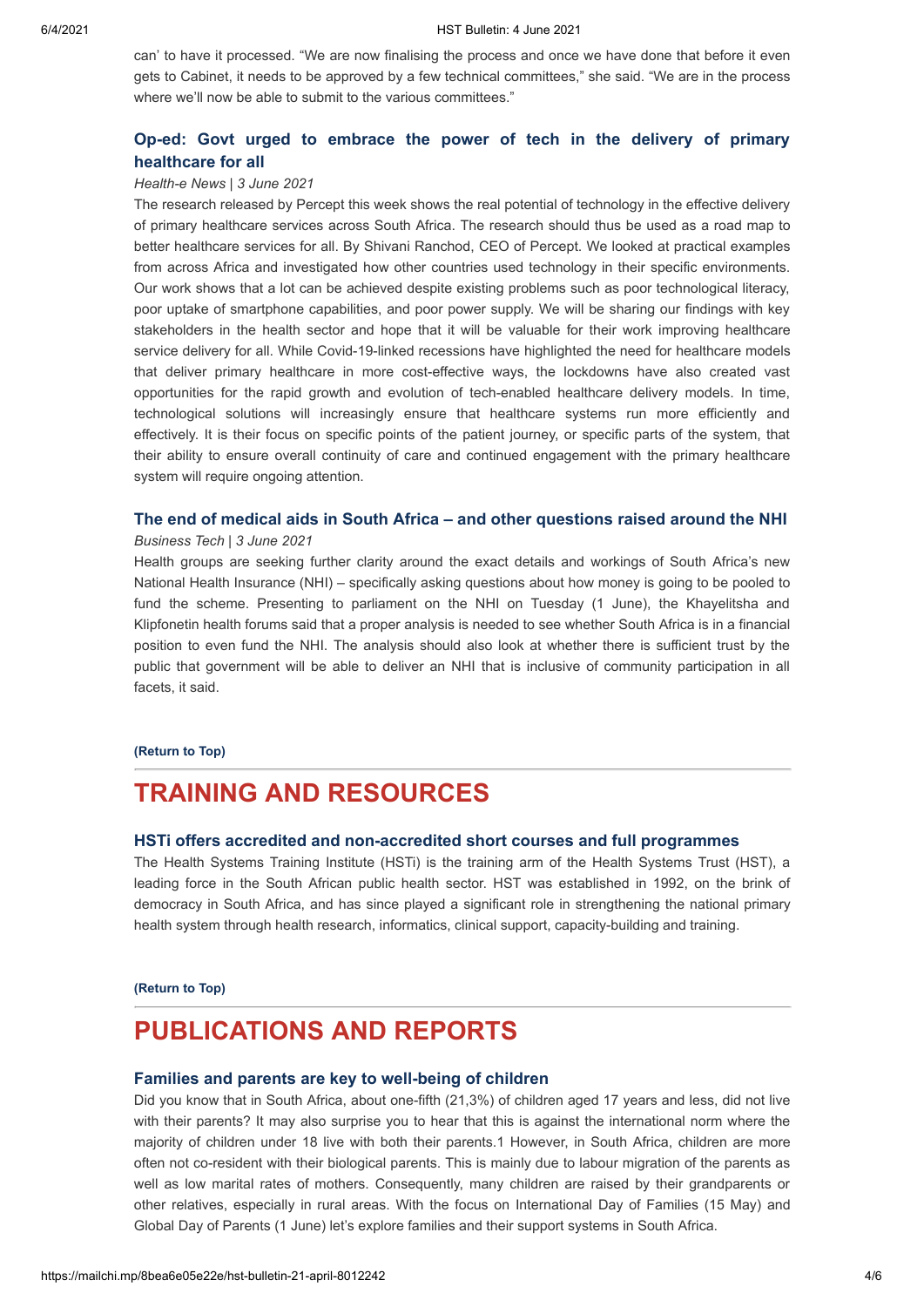can' to have it processed. "We are now finalising the process and once we have done that before it even gets to Cabinet, it needs to be approved by a few technical committees," she said. "We are in the process where we'll now be able to submit to the various committees."

# **[Op-ed: Govt urged to embrace the power of tech in the delivery of primary](https://health-e.org.za/2021/06/03/op-ed-govt-urged-to-embrace-the-power-of-tech-in-the-delivery-of-primary-healthcare-for-all/) healthcare for all**

### *Health-e News* | *3 June 2021*

The research released by Percept this week shows the real potential of technology in the effective delivery of primary healthcare services across South Africa. The research should thus be used as a road map to better healthcare services for all. By Shivani Ranchod, CEO of Percept. We looked at practical examples from across Africa and investigated how other countries used technology in their specific environments. Our work shows that a lot can be achieved despite existing problems such as poor technological literacy, poor uptake of smartphone capabilities, and poor power supply. We will be sharing our findings with key stakeholders in the health sector and hope that it will be valuable for their work improving healthcare service delivery for all. While Covid-19-linked recessions have highlighted the need for healthcare models that deliver primary healthcare in more cost-effective ways, the lockdowns have also created vast opportunities for the rapid growth and evolution of tech-enabled healthcare delivery models. In time, technological solutions will increasingly ensure that healthcare systems run more efficiently and effectively. It is their focus on specific points of the patient journey, or specific parts of the system, that their ability to ensure overall continuity of care and continued engagement with the primary healthcare system will require ongoing attention.

## **[The end of medical aids in South Africa – and other questions raised around the NHI](https://businesstech.co.za/news/finance/495047/the-end-of-medical-aids-in-south-africa-and-other-questions-raised-around-the-nhi/)**

### *Business Tech* | *3 June 2021*

Health groups are seeking further clarity around the exact details and workings of South Africa's new National Health Insurance (NHI) – specifically asking questions about how money is going to be pooled to fund the scheme. Presenting to parliament on the NHI on Tuesday (1 June), the Khayelitsha and Klipfonetin health forums said that a proper analysis is needed to see whether South Africa is in a financial position to even fund the NHI. The analysis should also look at whether there is sufficient trust by the public that government will be able to deliver an NHI that is inclusive of community participation in all facets, it said.

#### **[\(Return to Top\)](#page-0-1)**

# <span id="page-3-0"></span>**TRAINING AND RESOURCES**

### **[HSTi offers accredited and non-accredited short courses and full programmes](https://www.hstinstitute.co.za/Training)**

The Health Systems Training Institute (HSTi) is the training arm of the Health Systems Trust (HST), a leading force in the South African public health sector. HST was established in 1992, on the brink of democracy in South Africa, and has since played a significant role in strengthening the national primary health system through health research, informatics, clinical support, capacity-building and training.

#### **[\(Return to Top\)](#page-0-1)**

# **PUBLICATIONS AND REPORTS**

## **[Families and parents are key to well-being of children](http://www.statssa.gov.za/?p=14388)**

Did you know that in South Africa, about one-fifth (21,3%) of children aged 17 years and less, did not live with their parents? It may also surprise you to hear that this is against the international norm where the majority of children under 18 live with both their parents.1 However, in South Africa, children are more often not co-resident with their biological parents. This is mainly due to labour migration of the parents as well as low marital rates of mothers. Consequently, many children are raised by their grandparents or other relatives, especially in rural areas. With the focus on International Day of Families (15 May) and Global Day of Parents (1 June) let's explore families and their support systems in South Africa.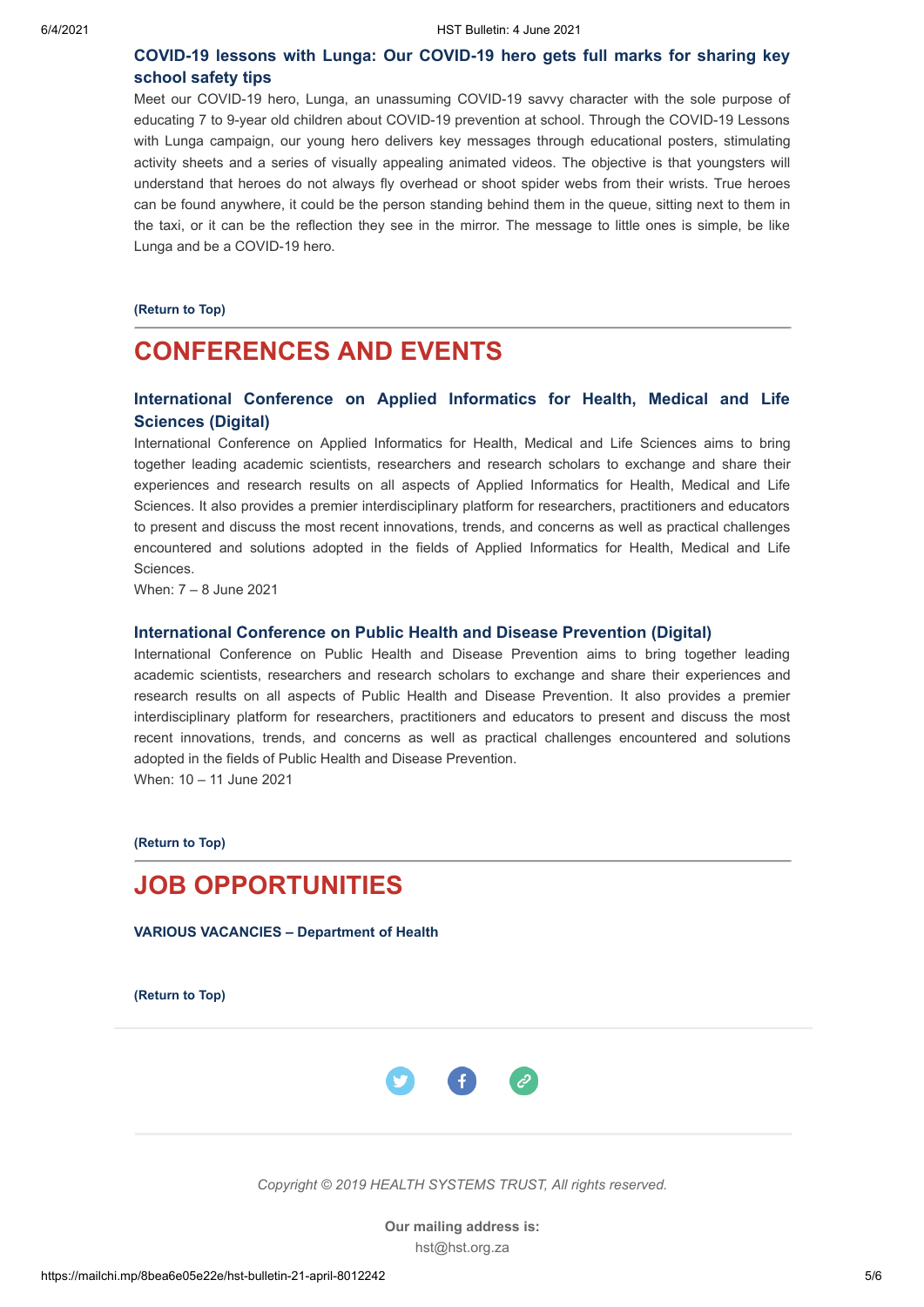# **[COVID-19 lessons with Lunga: Our COVID-19 hero gets full marks for sharing key](https://www.nicd.ac.za/diseases-a-z-index/covid-19/covid-19-resources-for-children/) school safety tips**

Meet our COVID-19 hero, Lunga, an unassuming COVID-19 savvy character with the sole purpose of educating 7 to 9-year old children about COVID-19 prevention at school. Through the COVID-19 Lessons with Lunga campaign, our young hero delivers key messages through educational posters, stimulating activity sheets and a series of visually appealing animated videos. The objective is that youngsters will understand that heroes do not always fly overhead or shoot spider webs from their wrists. True heroes can be found anywhere, it could be the person standing behind them in the queue, sitting next to them in the taxi, or it can be the reflection they see in the mirror. The message to little ones is simple, be like Lunga and be a COVID-19 hero.

**[\(Return to Top\)](#page-0-1)**

# <span id="page-4-0"></span>**CONFERENCES AND EVENTS**

# **[International Conference on Applied Informatics for Health, Medical and Life](https://waset.org/applied-informatics-for-health-medical-and-life-sciences-conference-in-june-2021-in-san-francisco) Sciences (Digital)**

International Conference on Applied Informatics for Health, Medical and Life Sciences aims to bring together leading academic scientists, researchers and research scholars to exchange and share their experiences and research results on all aspects of Applied Informatics for Health, Medical and Life Sciences. It also provides a premier interdisciplinary platform for researchers, practitioners and educators to present and discuss the most recent innovations, trends, and concerns as well as practical challenges encountered and solutions adopted in the fields of Applied Informatics for Health, Medical and Life Sciences.

When: 7 – 8 June 2021

#### **[International Conference on Public Health and Disease Prevention \(Digital\)](https://waset.org/public-health-and-disease-prevention-conference-in-june-2021-in-copenhagen)**

International Conference on Public Health and Disease Prevention aims to bring together leading academic scientists, researchers and research scholars to exchange and share their experiences and research results on all aspects of Public Health and Disease Prevention. It also provides a premier interdisciplinary platform for researchers, practitioners and educators to present and discuss the most recent innovations, trends, and concerns as well as practical challenges encountered and solutions adopted in the fields of Public Health and Disease Prevention. When: 10 – 11 June 2021

**[\(Return to Top\)](#page-0-1)**

# <span id="page-4-1"></span>**JOB OPPORTUNITIES**

**[VARIOUS VACANCIES – Department of Health](http://www.health.gov.za/vacancies/)**

**[\(Return to Top\)](#page-0-1)**



*Copyright © 2019 HEALTH SYSTEMS TRUST, All rights reserved.*

**Our mailing address is:** hst@hst.org.za